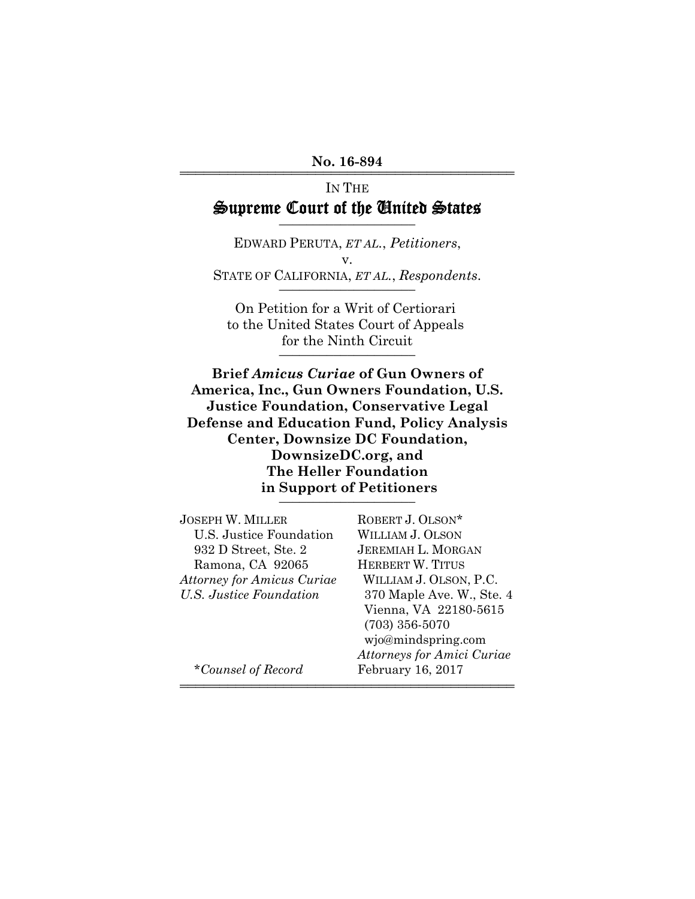#### No. 16-894

# IN THE Supreme Court of the United States

EDWARD PERUTA, *ET AL.*, *Petitioners*, v. STATE OF CALIFORNIA, *ET AL.*, *Respondents.* 

On Petition for a Writ of Certiorari to the United States Court of Appeals for the Ninth Circuit

**Brief** *Amicus Curiae* **of Gun Owners of America, Inc., Gun Owners Foundation, U.S. Justice Foundation, Conservative Legal Defense and Education Fund, Policy Analysis Center, Downsize DC Foundation, DownsizeDC.org, and The Heller Foundation in Support of Petitioners** \_\_\_\_\_\_\_\_\_\_\_\_\_\_\_\_\_\_\_\_

| <b>JOSEPH W. MILLER</b>           | ROBERT J. OLSON*                  |
|-----------------------------------|-----------------------------------|
| U.S. Justice Foundation           | WILLIAM J. OLSON                  |
| 932 D Street, Ste. 2              | <b>JEREMIAH L. MORGAN</b>         |
| Ramona, CA 92065                  | <b>HERBERT W. TITUS</b>           |
| <b>Attorney for Amicus Curiae</b> | WILLIAM J. OLSON, P.C.            |
| U.S. Justice Foundation           | 370 Maple Ave. W., Ste. 4         |
|                                   | Vienna, VA 22180-5615             |
|                                   | $(703)$ 356-5070                  |
|                                   | wjo@mindspring.com                |
|                                   | <b>Attorneys for Amici Curiae</b> |
| *Counsel of Record                | February 16, 2017                 |
|                                   |                                   |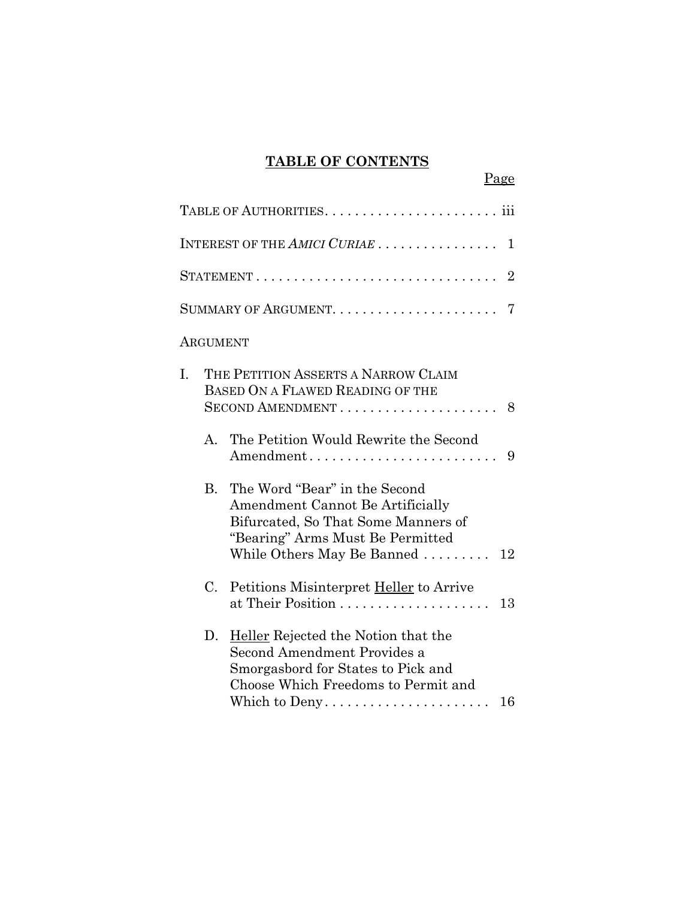## **TABLE OF CONTENTS**

Page

|    |             | INTEREST OF THE $AMICI$ $CURL$ $\ldots$ $\ldots$ $\ldots$ $\ldots$ $\ldots$<br>1                                                                                                                 |
|----|-------------|--------------------------------------------------------------------------------------------------------------------------------------------------------------------------------------------------|
|    |             | $\overline{2}$                                                                                                                                                                                   |
|    |             |                                                                                                                                                                                                  |
|    | ARGUMENT    |                                                                                                                                                                                                  |
| I. |             | THE PETITION ASSERTS A NARROW CLAIM<br>BASED ON A FLAWED READING OF THE<br>$SECOND$ AMENDMENT $\ldots \ldots \ldots \ldots \ldots \ldots 8$                                                      |
|    |             | A. The Petition Would Rewrite the Second<br>Amendment<br>9                                                                                                                                       |
|    | $B_{\cdot}$ | The Word "Bear" in the Second<br>Amendment Cannot Be Artificially<br>Bifurcated, So That Some Manners of<br>"Bearing" Arms Must Be Permitted<br>While Others May Be Banned $\ldots \ldots$<br>12 |
|    | C.          | Petitions Misinterpret Heller to Arrive<br>13                                                                                                                                                    |
|    | D.          | Heller Rejected the Notion that the<br>Second Amendment Provides a<br>Smorgasbord for States to Pick and<br>Choose Which Freedoms to Permit and<br>16                                            |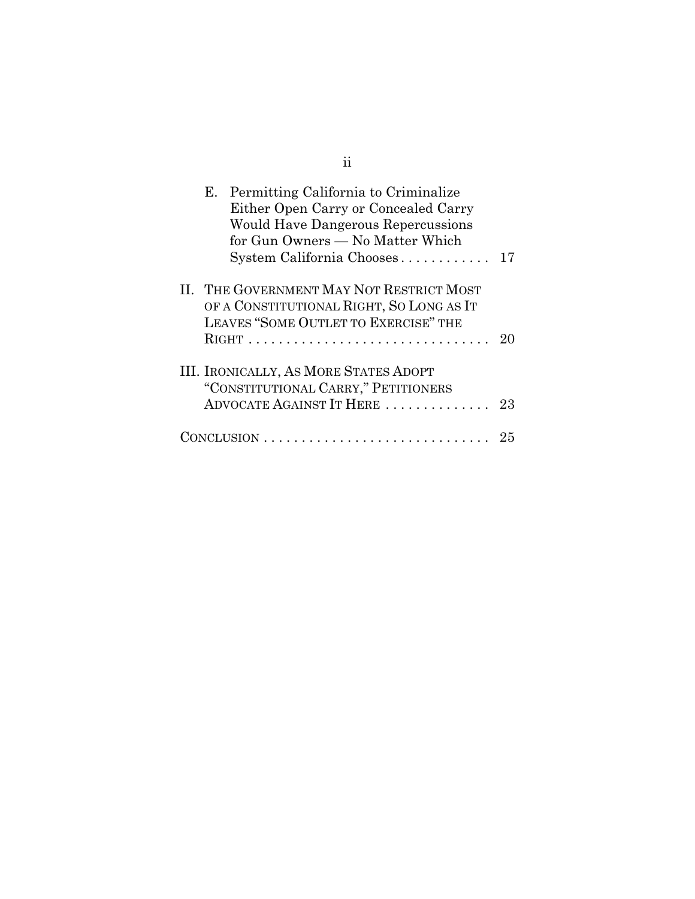| Е. | Permitting California to Criminalize<br>Either Open Carry or Concealed Carry<br><b>Would Have Dangerous Repercussions</b><br>for Gun Owners — No Matter Which<br>System California Chooses | 17 |
|----|--------------------------------------------------------------------------------------------------------------------------------------------------------------------------------------------|----|
|    | II. THE GOVERNMENT MAY NOT RESTRICT MOST<br>OF A CONSTITUTIONAL RIGHT, SO LONG AS IT<br>LEAVES "SOME OUTLET TO EXERCISE" THE                                                               |    |
|    |                                                                                                                                                                                            | 20 |
|    | <b>III. IRONICALLY, AS MORE STATES ADOPT</b>                                                                                                                                               |    |
|    | "CONSTITUTIONAL CARRY," PETITIONERS<br>ADVOCATE AGAINST IT HERE                                                                                                                            | 23 |
|    |                                                                                                                                                                                            | 25 |

ii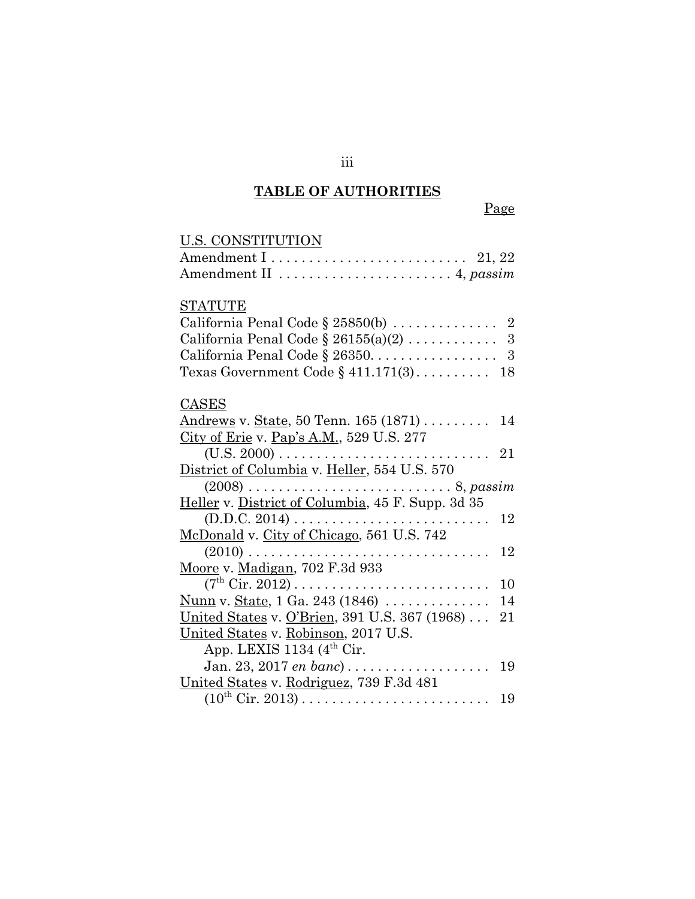# **TABLE OF AUTHORITIES**

| U.S. CONSTITUTION                                                                          |    |
|--------------------------------------------------------------------------------------------|----|
| Amendment $1 \ldots \ldots \ldots \ldots \ldots \ldots \ldots \ldots 21, 22$               |    |
| Amendment II  4, passim                                                                    |    |
| <b>STATUTE</b>                                                                             |    |
| California Penal Code § 25850(b) $\ldots \ldots \ldots \ldots$ 2                           |    |
|                                                                                            |    |
| California Penal Code § 26350. $\ldots$ . 3                                                |    |
| Texas Government Code $\S$ 411.171(3) 18                                                   |    |
| CASES                                                                                      |    |
| Andrews v. State, 50 Tenn. 165 (1871)  14                                                  |    |
| City of Erie v. Pap's A.M., 529 U.S. 277                                                   |    |
|                                                                                            | 21 |
| District of Columbia v. Heller, 554 U.S. 570                                               |    |
| $(2008)$ 8, passim                                                                         |    |
| Heller v. District of Columbia, 45 F. Supp. 3d 35                                          |    |
| $(D.D.C. 2014) \ldots \ldots \ldots \ldots \ldots \ldots \ldots \ldots$                    | 12 |
| McDonald v. City of Chicago, 561 U.S. 742                                                  |    |
|                                                                                            | 12 |
| Moore v. Madigan, 702 F.3d 933                                                             |    |
| $(7^{\text{th}} \text{ Cir. } 2012) \dots \dots \dots \dots \dots \dots \dots \dots \dots$ | 10 |
| Nunn v. State, 1 Ga. 243 (1846)                                                            | 14 |
| United States v. O'Brien, 391 U.S. 367 (1968)                                              | 21 |
| United States v. Robinson, 2017 U.S.                                                       |    |
| App. LEXIS 1134 $(4th Cir.$                                                                |    |
| Jan. 23, 2017 <i>en banc</i> )                                                             | 19 |
|                                                                                            |    |
| United States v. Rodriguez, 739 F.3d 481                                                   |    |
|                                                                                            | 19 |

iii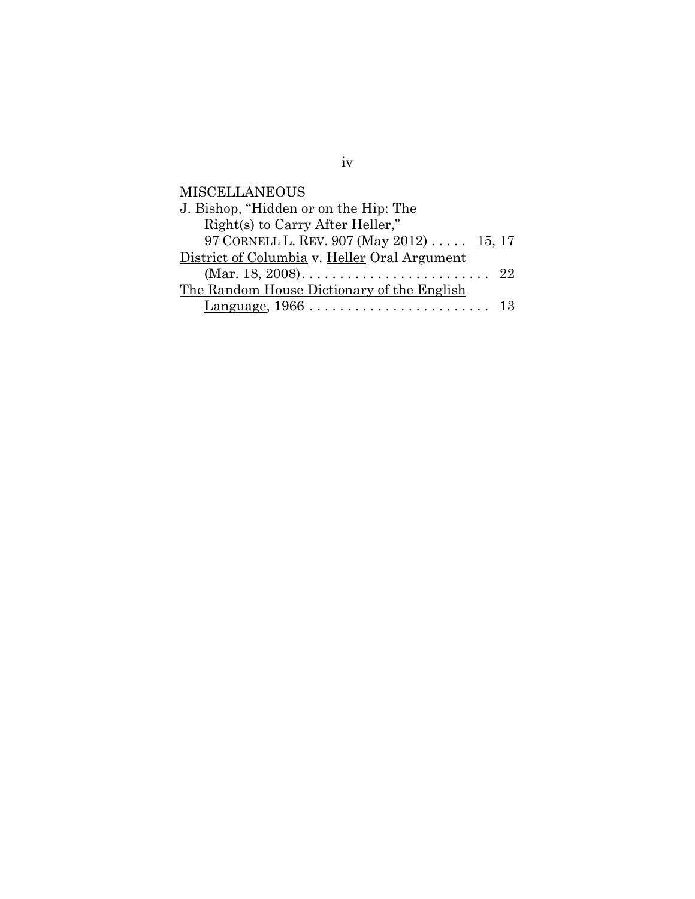**MISCELLANEOUS** 

| J. Bishop, "Hidden or on the Hip: The        |  |
|----------------------------------------------|--|
| Right(s) to Carry After Heller,"             |  |
| 97 CORNELL L. REV. 907 (May 2012) 15, 17     |  |
| District of Columbia v. Heller Oral Argument |  |
|                                              |  |
| The Random House Dictionary of the English   |  |
|                                              |  |

iv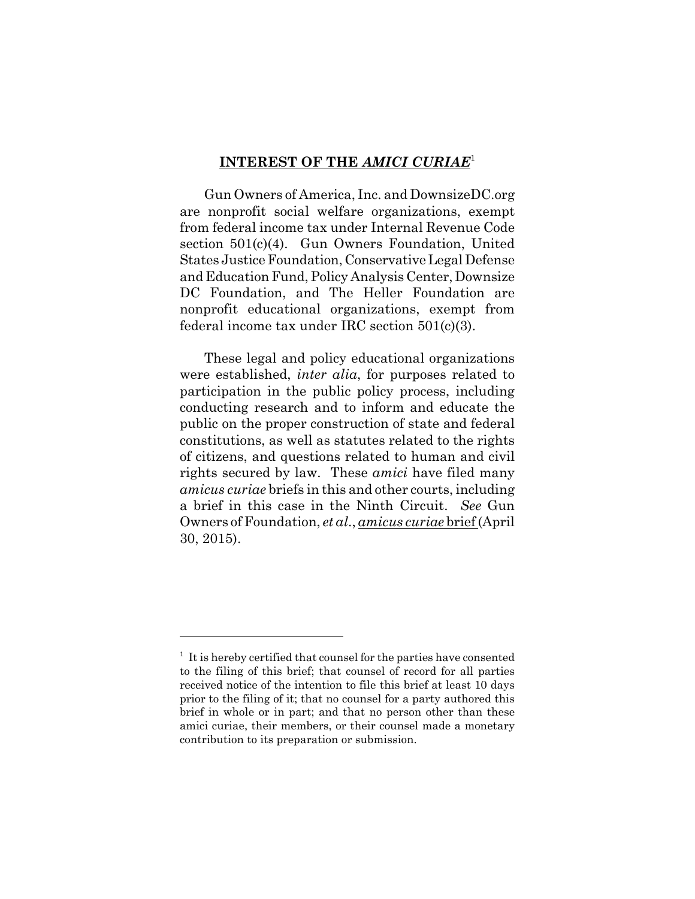#### **INTEREST OF THE** *AMICI CURIAE*<sup>1</sup>

Gun Owners of America, Inc. and DownsizeDC.org are nonprofit social welfare organizations, exempt from federal income tax under Internal Revenue Code section 501(c)(4). Gun Owners Foundation, United States Justice Foundation, Conservative Legal Defense and Education Fund, Policy Analysis Center, Downsize DC Foundation, and The Heller Foundation are nonprofit educational organizations, exempt from federal income tax under IRC section 501(c)(3).

These legal and policy educational organizations were established, *inter alia*, for purposes related to participation in the public policy process, including conducting research and to inform and educate the public on the proper construction of state and federal constitutions, as well as statutes related to the rights of citizens, and questions related to human and civil rights secured by law. These *amici* have filed many *amicus curiae* briefs in this and other courts, including a brief in this case in the Ninth Circuit. *See* Gun Owners of Foundation, *et al*., *amicus curiae* brief (April 30, 2015).

<sup>&</sup>lt;sup>1</sup> It is hereby certified that counsel for the parties have consented to the filing of this brief; that counsel of record for all parties received notice of the intention to file this brief at least 10 days prior to the filing of it; that no counsel for a party authored this brief in whole or in part; and that no person other than these amici curiae, their members, or their counsel made a monetary contribution to its preparation or submission.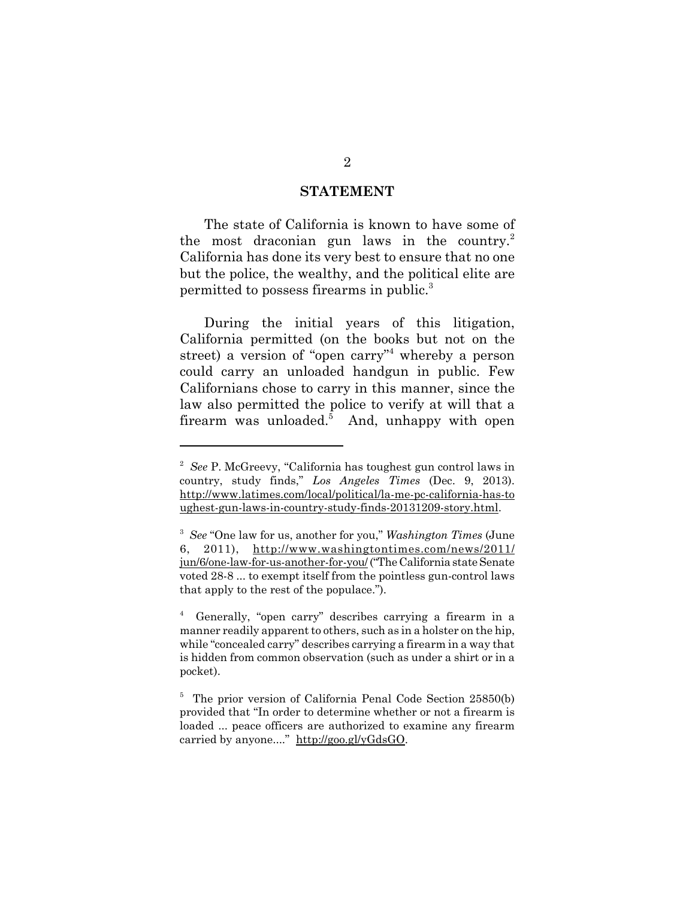#### **STATEMENT**

The state of California is known to have some of the most draconian gun laws in the country.<sup>2</sup> California has done its very best to ensure that no one but the police, the wealthy, and the political elite are permitted to possess firearms in public.3

During the initial years of this litigation, California permitted (on the books but not on the street) a version of "open carry"<sup>4</sup> whereby a person could carry an unloaded handgun in public. Few Californians chose to carry in this manner, since the law also permitted the police to verify at will that a firearm was unloaded.<sup>5</sup> And, unhappy with open

<sup>&</sup>lt;sup>2</sup> See P. McGreevy, "California has toughest gun control laws in country, study finds," *Los Angeles Times* (Dec. 9, 2013). http://www.latimes.com/local/political/la-me-pc-california-has-to ughest-gun-laws-in-country-study-finds-20131209-story.html.

<sup>3</sup> *See* "One law for us, another for you," *Washington Times* (June 6, 2011), http://www.washingtontimes.com/news/2011/ jun/6/one-law-for-us-another-for-you/ ("The California state Senate voted 28-8 ... to exempt itself from the pointless gun-control laws that apply to the rest of the populace.").

<sup>4</sup> Generally, "open carry" describes carrying a firearm in a manner readily apparent to others, such as in a holster on the hip, while "concealed carry" describes carrying a firearm in a way that is hidden from common observation (such as under a shirt or in a pocket).

<sup>&</sup>lt;sup>5</sup> The prior version of California Penal Code Section 25850(b) provided that "In order to determine whether or not a firearm is loaded ... peace officers are authorized to examine any firearm carried by anyone...." http://goo.gl/yGdsGO.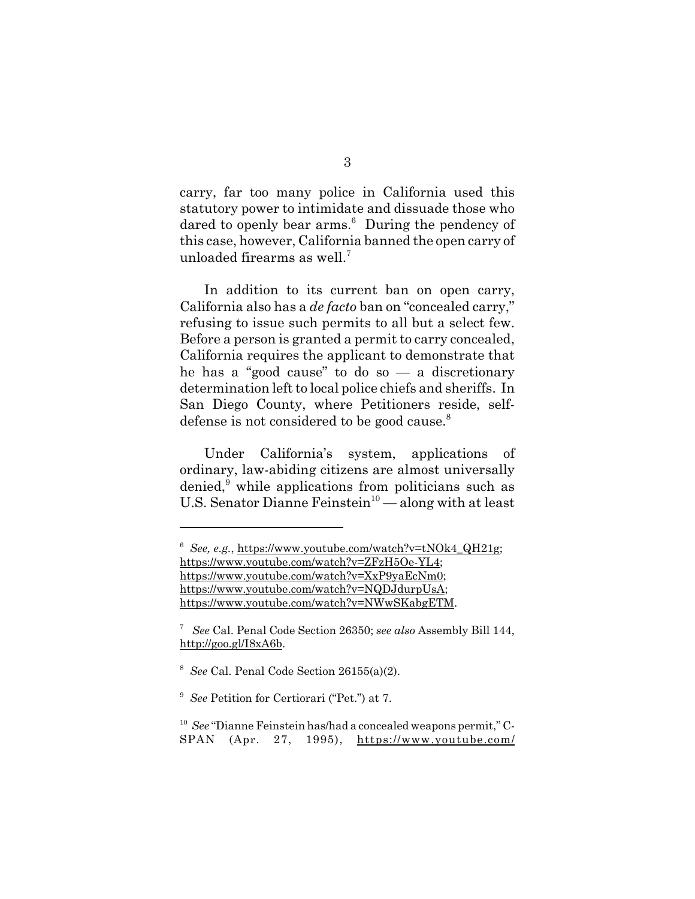carry, far too many police in California used this statutory power to intimidate and dissuade those who dared to openly bear arms.<sup>6</sup> During the pendency of this case, however, California banned the open carry of unloaded firearms as well.7

In addition to its current ban on open carry, California also has a *de facto* ban on "concealed carry," refusing to issue such permits to all but a select few. Before a person is granted a permit to carry concealed, California requires the applicant to demonstrate that he has a "good cause" to do so  $-$  a discretionary determination left to local police chiefs and sheriffs. In San Diego County, where Petitioners reside, selfdefense is not considered to be good cause.<sup>8</sup>

Under California's system, applications of ordinary, law-abiding citizens are almost universally denied,<sup>9</sup> while applications from politicians such as U.S. Senator Dianne Feinstein<sup>10</sup> — along with at least

<sup>&</sup>lt;sup>6</sup> See, e.g., https://www.youtube.com/watch?v=tNOk4\_QH21g; https://www.youtube.com/watch?v=ZFzH5Oe-YL4; https://www.youtube.com/watch?v=XxP9yaEcNm0; https://www.youtube.com/watch?v=NQDJdurpUsA; https://www.youtube.com/watch?v=NWwSKabgETM.

<sup>7</sup> *See* Cal. Penal Code Section 26350; *see also* Assembly Bill 144, http://goo.gl/I8xA6b.

<sup>8</sup> *See* Cal. Penal Code Section 26155(a)(2).

<sup>&</sup>lt;sup>9</sup> See Petition for Certiorari ("Pet.") at 7.

<sup>10</sup> *See* "Dianne Feinstein has/had a concealed weapons permit," C-SPAN (Apr. 27, 1995), https://www.youtube.com/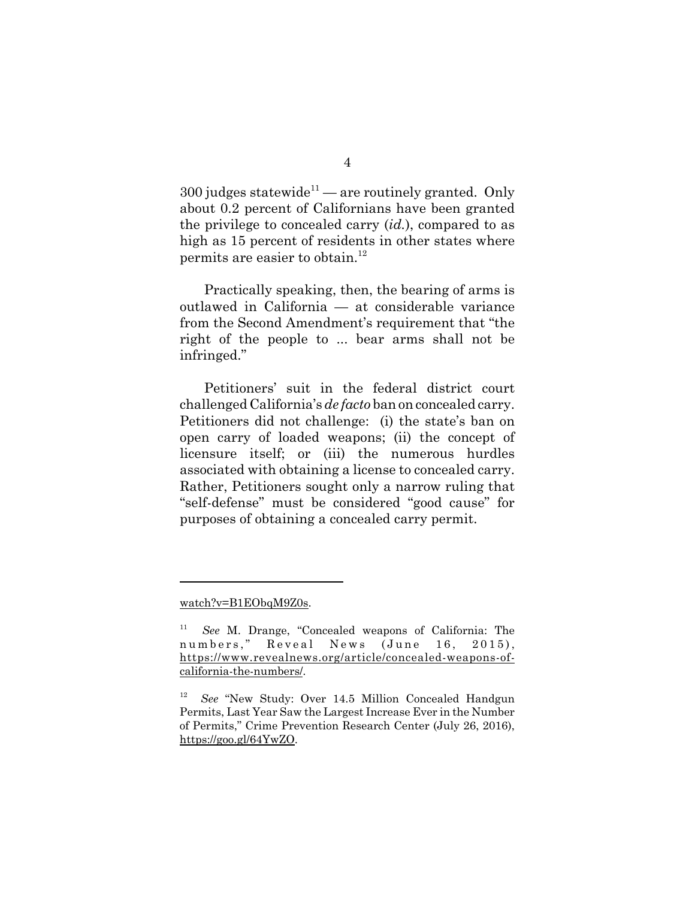$300$  judges statewide<sup>11</sup> — are routinely granted. Only about 0.2 percent of Californians have been granted the privilege to concealed carry (*id.*), compared to as high as 15 percent of residents in other states where permits are easier to obtain.<sup>12</sup>

Practically speaking, then, the bearing of arms is outlawed in California — at considerable variance from the Second Amendment's requirement that "the right of the people to ... bear arms shall not be infringed."

Petitioners' suit in the federal district court challenged California's *de facto* ban on concealed carry. Petitioners did not challenge: (i) the state's ban on open carry of loaded weapons; (ii) the concept of licensure itself; or (iii) the numerous hurdles associated with obtaining a license to concealed carry. Rather, Petitioners sought only a narrow ruling that "self-defense" must be considered "good cause" for purposes of obtaining a concealed carry permit.

watch?v=B1EObqM9Z0s.

<sup>11</sup> *See* M. Drange, "Concealed weapons of California: The numbers," Reveal News (June 16, 2015), https://www.revealnews.org/article/concealed-weapons-ofcalifornia-the-numbers/.

<sup>12</sup> *See* "New Study: Over 14.5 Million Concealed Handgun Permits, Last Year Saw the Largest Increase Ever in the Number of Permits," Crime Prevention Research Center (July 26, 2016), https://goo.gl/64YwZO.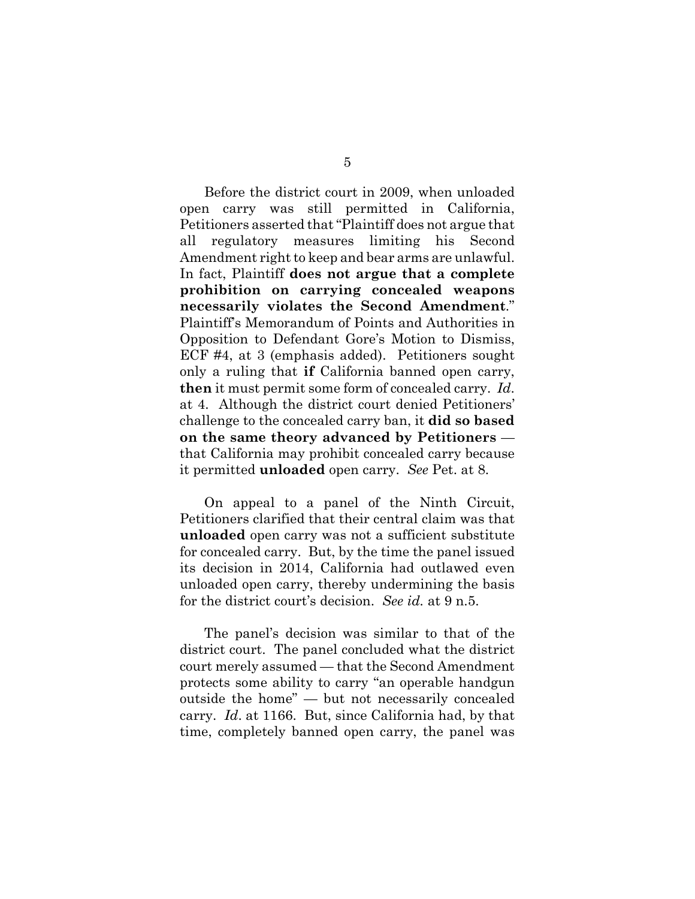Before the district court in 2009, when unloaded open carry was still permitted in California, Petitioners asserted that "Plaintiff does not argue that all regulatory measures limiting his Second Amendment right to keep and bear arms are unlawful. In fact, Plaintiff **does not argue that a complete prohibition on carrying concealed weapons necessarily violates the Second Amendment**." Plaintiff's Memorandum of Points and Authorities in Opposition to Defendant Gore's Motion to Dismiss, ECF #4, at 3 (emphasis added). Petitioners sought only a ruling that **if** California banned open carry, **then** it must permit some form of concealed carry. *Id*. at 4. Although the district court denied Petitioners' challenge to the concealed carry ban, it **did so based on the same theory advanced by Petitioners** that California may prohibit concealed carry because it permitted **unloaded** open carry. *See* Pet. at 8.

On appeal to a panel of the Ninth Circuit, Petitioners clarified that their central claim was that **unloaded** open carry was not a sufficient substitute for concealed carry. But, by the time the panel issued its decision in 2014, California had outlawed even unloaded open carry, thereby undermining the basis for the district court's decision. *See id.* at 9 n.5.

The panel's decision was similar to that of the district court. The panel concluded what the district court merely assumed — that the Second Amendment protects some ability to carry "an operable handgun outside the home" — but not necessarily concealed carry. *Id*. at 1166. But, since California had, by that time, completely banned open carry, the panel was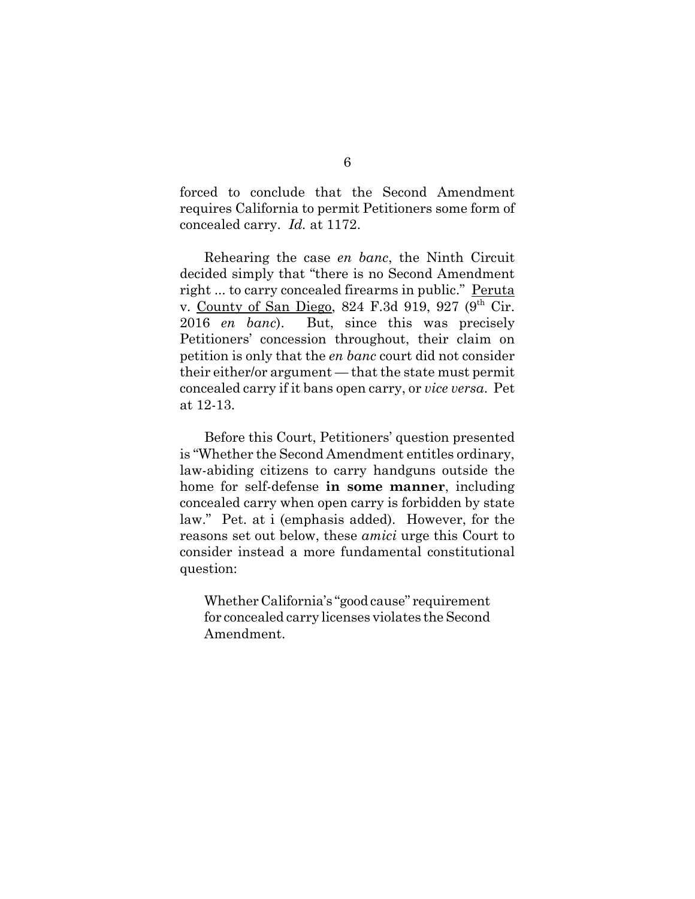forced to conclude that the Second Amendment requires California to permit Petitioners some form of concealed carry. *Id.* at 1172.

Rehearing the case *en banc*, the Ninth Circuit decided simply that "there is no Second Amendment right ... to carry concealed firearms in public." Peruta v. County of San Diego, 824 F.3d 919, 927 (9<sup>th</sup> Cir. 2016 *en banc*). But, since this was precisely Petitioners' concession throughout, their claim on petition is only that the *en banc* court did not consider their either/or argument — that the state must permit concealed carry if it bans open carry, or *vice versa*. Pet at 12-13.

Before this Court, Petitioners' question presented is "Whether the Second Amendment entitles ordinary, law-abiding citizens to carry handguns outside the home for self-defense **in some manner**, including concealed carry when open carry is forbidden by state law." Pet. at i (emphasis added). However, for the reasons set out below, these *amici* urge this Court to consider instead a more fundamental constitutional question:

Whether California's "good cause" requirement for concealed carry licenses violates the Second Amendment.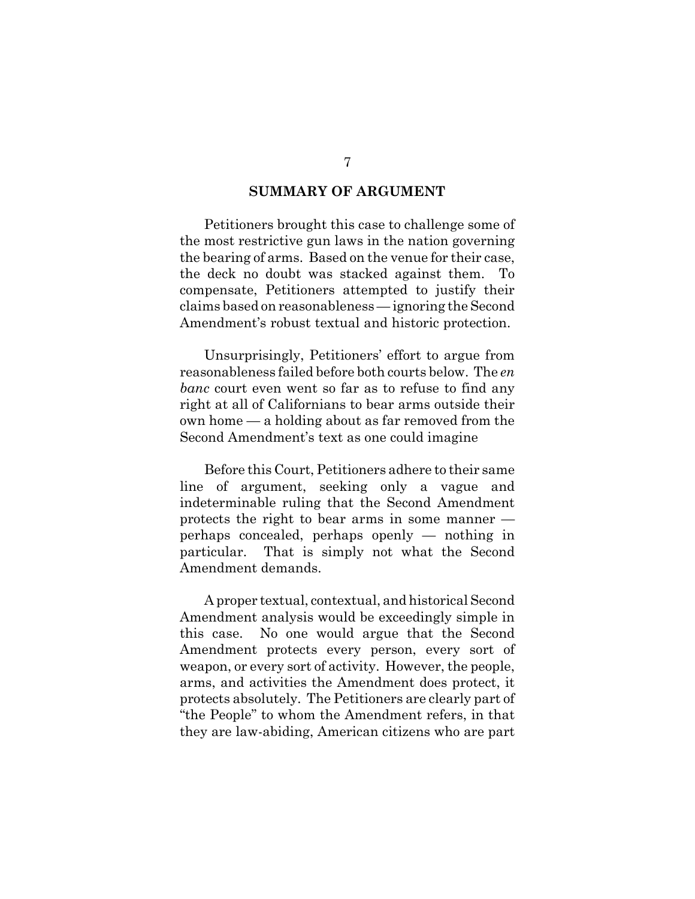#### **SUMMARY OF ARGUMENT**

Petitioners brought this case to challenge some of the most restrictive gun laws in the nation governing the bearing of arms. Based on the venue for their case, the deck no doubt was stacked against them. To compensate, Petitioners attempted to justify their claims based on reasonableness — ignoring the Second Amendment's robust textual and historic protection.

Unsurprisingly, Petitioners' effort to argue from reasonableness failed before both courts below. The *en banc* court even went so far as to refuse to find any right at all of Californians to bear arms outside their own home — a holding about as far removed from the Second Amendment's text as one could imagine

Before this Court, Petitioners adhere to their same line of argument, seeking only a vague and indeterminable ruling that the Second Amendment protects the right to bear arms in some manner perhaps concealed, perhaps openly — nothing in particular. That is simply not what the Second Amendment demands.

A proper textual, contextual, and historical Second Amendment analysis would be exceedingly simple in this case. No one would argue that the Second Amendment protects every person, every sort of weapon, or every sort of activity. However, the people, arms, and activities the Amendment does protect, it protects absolutely. The Petitioners are clearly part of "the People" to whom the Amendment refers, in that they are law-abiding, American citizens who are part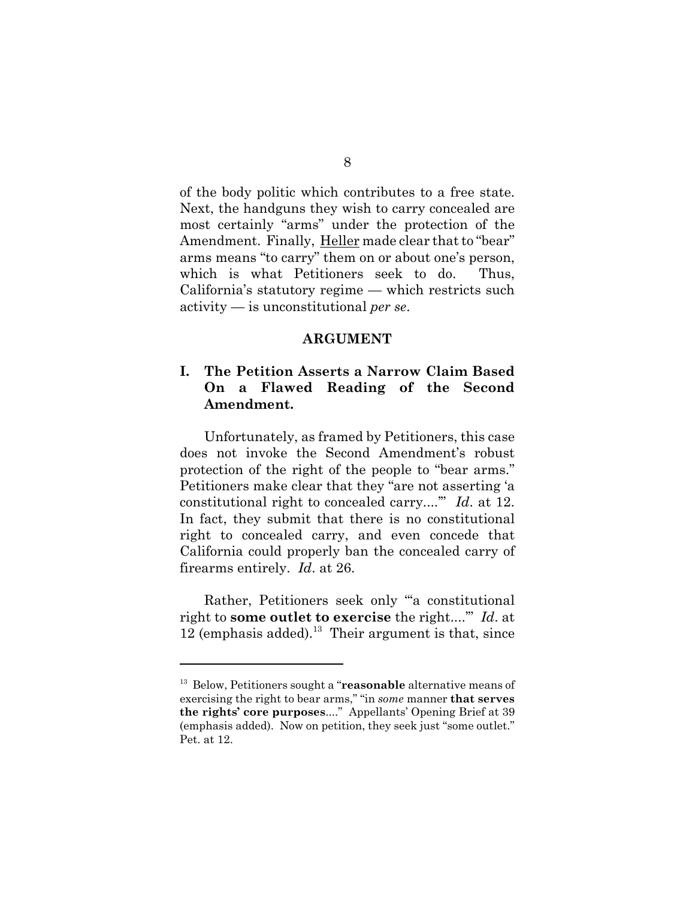of the body politic which contributes to a free state. Next, the handguns they wish to carry concealed are most certainly "arms" under the protection of the Amendment. Finally, Heller made clear that to "bear" arms means "to carry" them on or about one's person, which is what Petitioners seek to do. Thus, California's statutory regime — which restricts such activity — is unconstitutional *per se*.

#### **ARGUMENT**

### **I. The Petition Asserts a Narrow Claim Based On a Flawed Reading of the Second Amendment.**

Unfortunately, as framed by Petitioners, this case does not invoke the Second Amendment's robust protection of the right of the people to "bear arms." Petitioners make clear that they "are not asserting 'a constitutional right to concealed carry....'" *Id*. at 12. In fact, they submit that there is no constitutional right to concealed carry, and even concede that California could properly ban the concealed carry of firearms entirely. *Id*. at 26.

Rather, Petitioners seek only "'a constitutional right to **some outlet to exercise** the right....'" *Id*. at 12 (emphasis added).<sup>13</sup> Their argument is that, since

<sup>13</sup> Below, Petitioners sought a "**reasonable** alternative means of exercising the right to bear arms," "in *some* manner **that serves the rights' core purposes**...." Appellants' Opening Brief at 39 (emphasis added). Now on petition, they seek just "some outlet." Pet. at 12.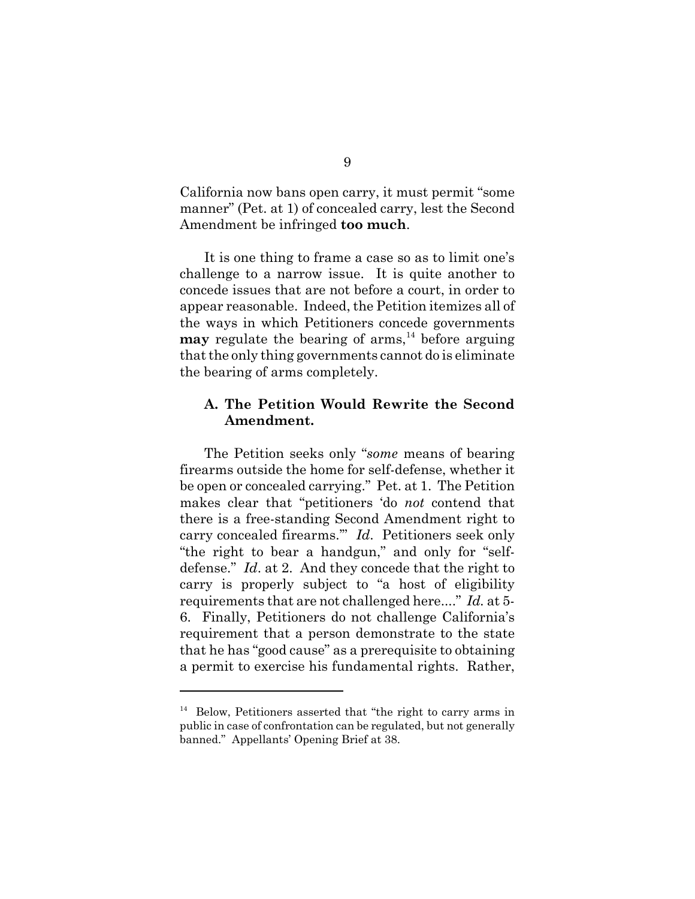California now bans open carry, it must permit "some manner" (Pet. at 1) of concealed carry, lest the Second Amendment be infringed **too much**.

It is one thing to frame a case so as to limit one's challenge to a narrow issue. It is quite another to concede issues that are not before a court, in order to appear reasonable. Indeed, the Petition itemizes all of the ways in which Petitioners concede governments **may** regulate the bearing of arms,  $^{14}$  before arguing that the only thing governments cannot do is eliminate the bearing of arms completely.

#### **A. The Petition Would Rewrite the Second Amendment.**

The Petition seeks only "*some* means of bearing firearms outside the home for self-defense, whether it be open or concealed carrying." Pet. at 1. The Petition makes clear that "petitioners 'do *not* contend that there is a free-standing Second Amendment right to carry concealed firearms.'" *Id*. Petitioners seek only "the right to bear a handgun," and only for "selfdefense." *Id*. at 2. And they concede that the right to carry is properly subject to "a host of eligibility requirements that are not challenged here...." *Id.* at 5- 6. Finally, Petitioners do not challenge California's requirement that a person demonstrate to the state that he has "good cause" as a prerequisite to obtaining a permit to exercise his fundamental rights. Rather,

 $14$  Below, Petitioners asserted that "the right to carry arms in public in case of confrontation can be regulated, but not generally banned." Appellants' Opening Brief at 38.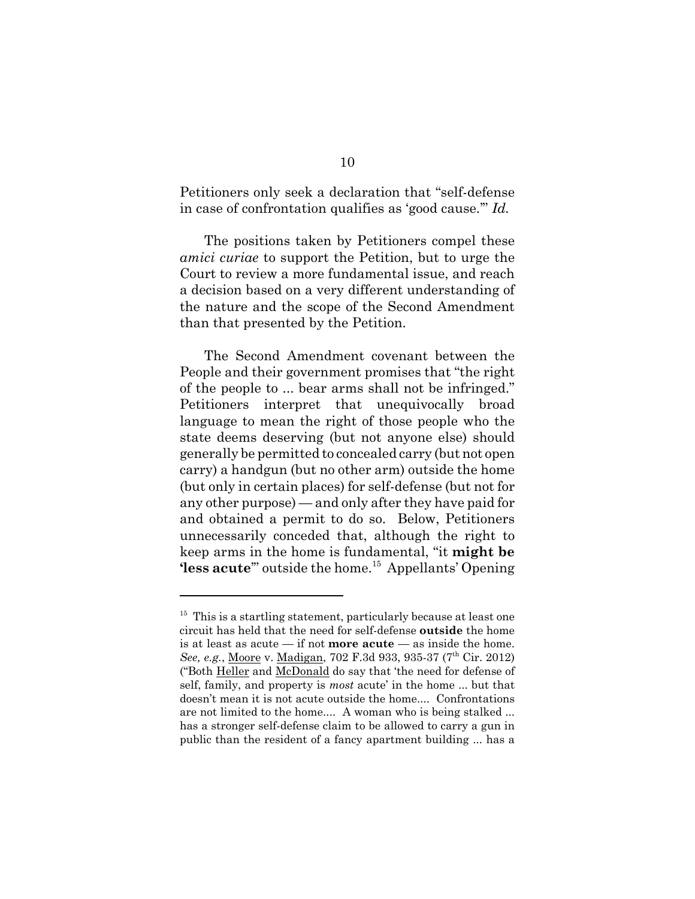Petitioners only seek a declaration that "self-defense in case of confrontation qualifies as 'good cause.'" *Id.*

The positions taken by Petitioners compel these *amici curiae* to support the Petition, but to urge the Court to review a more fundamental issue, and reach a decision based on a very different understanding of the nature and the scope of the Second Amendment than that presented by the Petition.

The Second Amendment covenant between the People and their government promises that "the right of the people to ... bear arms shall not be infringed." Petitioners interpret that unequivocally broad language to mean the right of those people who the state deems deserving (but not anyone else) should generally be permitted to concealed carry (but not open carry) a handgun (but no other arm) outside the home (but only in certain places) for self-defense (but not for any other purpose) — and only after they have paid for and obtained a permit to do so. Below, Petitioners unnecessarily conceded that, although the right to keep arms in the home is fundamental, "it **might be 'less acute**" outside the home.<sup>15</sup> Appellants' Opening

 $15$  This is a startling statement, particularly because at least one circuit has held that the need for self-defense **outside** the home is at least as acute  $-$  if not **more acute**  $-$  as inside the home. See, e.g., Moore v. Madigan, 702 F.3d 933, 935-37 (7<sup>th</sup> Cir. 2012) ("Both Heller and McDonald do say that 'the need for defense of self, family, and property is *most* acute' in the home ... but that doesn't mean it is not acute outside the home.... Confrontations are not limited to the home.... A woman who is being stalked ... has a stronger self-defense claim to be allowed to carry a gun in public than the resident of a fancy apartment building ... has a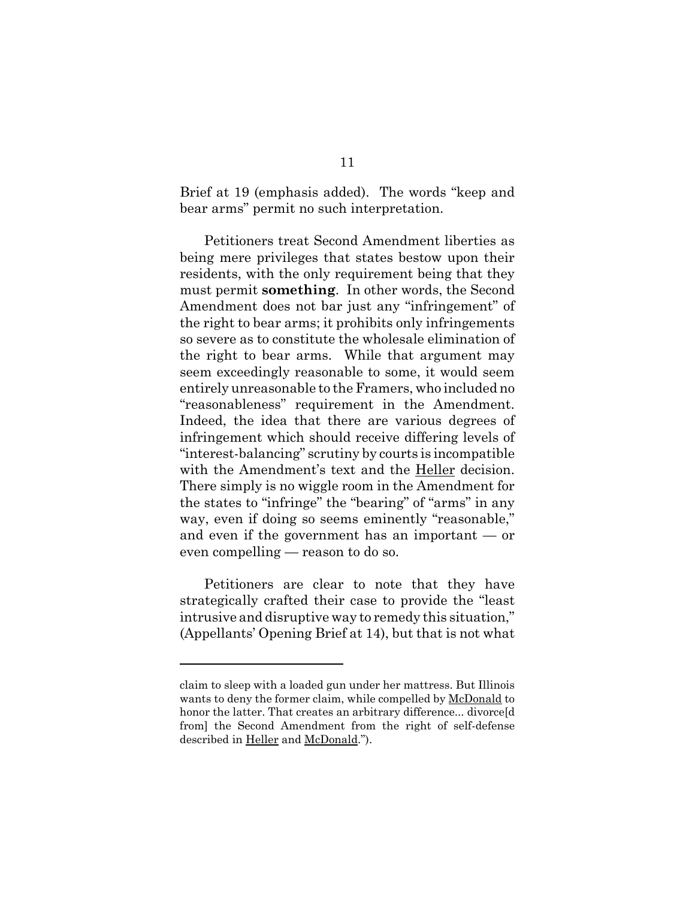Brief at 19 (emphasis added). The words "keep and bear arms" permit no such interpretation.

Petitioners treat Second Amendment liberties as being mere privileges that states bestow upon their residents, with the only requirement being that they must permit **something**. In other words, the Second Amendment does not bar just any "infringement" of the right to bear arms; it prohibits only infringements so severe as to constitute the wholesale elimination of the right to bear arms. While that argument may seem exceedingly reasonable to some, it would seem entirely unreasonable to the Framers, who included no "reasonableness" requirement in the Amendment. Indeed, the idea that there are various degrees of infringement which should receive differing levels of "interest-balancing" scrutiny by courts is incompatible with the Amendment's text and the Heller decision. There simply is no wiggle room in the Amendment for the states to "infringe" the "bearing" of "arms" in any way, even if doing so seems eminently "reasonable," and even if the government has an important — or even compelling — reason to do so.

Petitioners are clear to note that they have strategically crafted their case to provide the "least intrusive and disruptive way to remedy this situation," (Appellants' Opening Brief at 14), but that is not what

claim to sleep with a loaded gun under her mattress. But Illinois wants to deny the former claim, while compelled by McDonald to honor the latter. That creates an arbitrary difference... divorce<sup>[d]</sup> from] the Second Amendment from the right of self-defense described in Heller and McDonald.").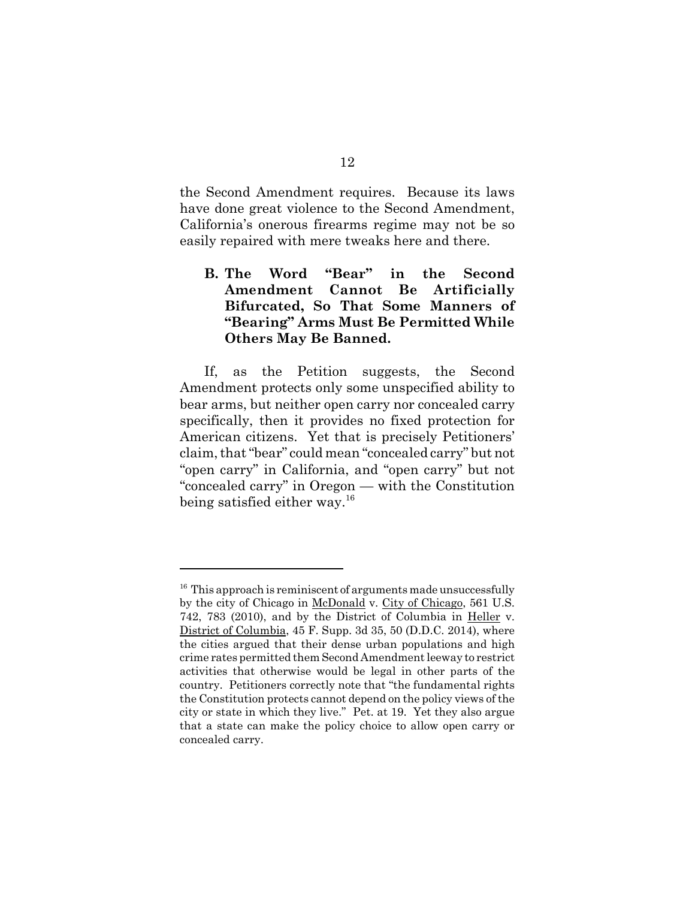the Second Amendment requires. Because its laws have done great violence to the Second Amendment, California's onerous firearms regime may not be so easily repaired with mere tweaks here and there.

### **B. The Word "Bear" in the Second Amendment Cannot Be Artificially Bifurcated, So That Some Manners of "Bearing" Arms Must Be Permitted While Others May Be Banned.**

If, as the Petition suggests, the Second Amendment protects only some unspecified ability to bear arms, but neither open carry nor concealed carry specifically, then it provides no fixed protection for American citizens. Yet that is precisely Petitioners' claim, that "bear" could mean "concealed carry" but not "open carry" in California, and "open carry" but not "concealed carry" in Oregon — with the Constitution being satisfied either way.<sup>16</sup>

 $16$  This approach is reminiscent of arguments made unsuccessfully by the city of Chicago in McDonald v. City of Chicago, 561 U.S. 742, 783 (2010), and by the District of Columbia in Heller v. District of Columbia, 45 F. Supp. 3d 35, 50 (D.D.C. 2014), where the cities argued that their dense urban populations and high crime rates permitted them Second Amendment leeway to restrict activities that otherwise would be legal in other parts of the country. Petitioners correctly note that "the fundamental rights the Constitution protects cannot depend on the policy views of the city or state in which they live." Pet. at 19. Yet they also argue that a state can make the policy choice to allow open carry or concealed carry.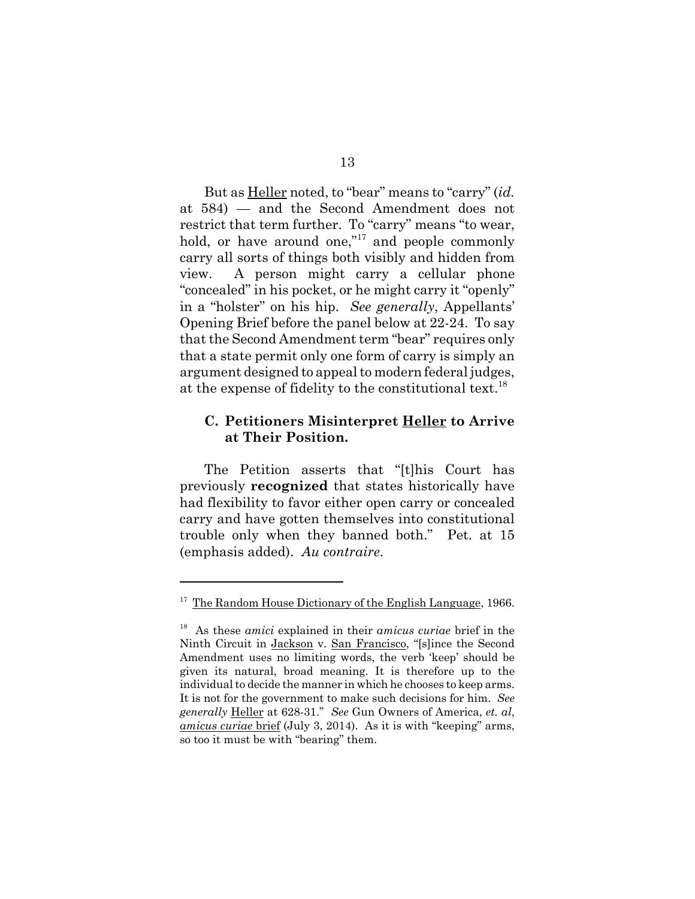But as Heller noted, to "bear" means to "carry" (*id.* at 584) — and the Second Amendment does not restrict that term further. To "carry" means "to wear, hold, or have around one,"<sup>17</sup> and people commonly carry all sorts of things both visibly and hidden from view. A person might carry a cellular phone "concealed" in his pocket, or he might carry it "openly" in a "holster" on his hip. *See generally*, Appellants' Opening Brief before the panel below at 22-24. To say that the Second Amendment term "bear" requires only that a state permit only one form of carry is simply an argument designed to appeal to modern federal judges, at the expense of fidelity to the constitutional text.<sup>18</sup>

#### **C. Petitioners Misinterpret Heller to Arrive at Their Position.**

The Petition asserts that "[t]his Court has previously **recognized** that states historically have had flexibility to favor either open carry or concealed carry and have gotten themselves into constitutional trouble only when they banned both." Pet. at 15 (emphasis added). *Au contraire*.

<sup>17</sup> The Random House Dictionary of the English Language, 1966.

<sup>18</sup> As these *amici* explained in their *amicus curiae* brief in the Ninth Circuit in Jackson v. San Francisco, "[s]ince the Second Amendment uses no limiting words, the verb 'keep' should be given its natural, broad meaning. It is therefore up to the individual to decide the manner in which he chooses to keep arms. It is not for the government to make such decisions for him. *See generally* Heller at 628-31." *See* Gun Owners of America, *et. al*, *amicus curiae* brief (July 3, 2014). As it is with "keeping" arms, so too it must be with "bearing" them.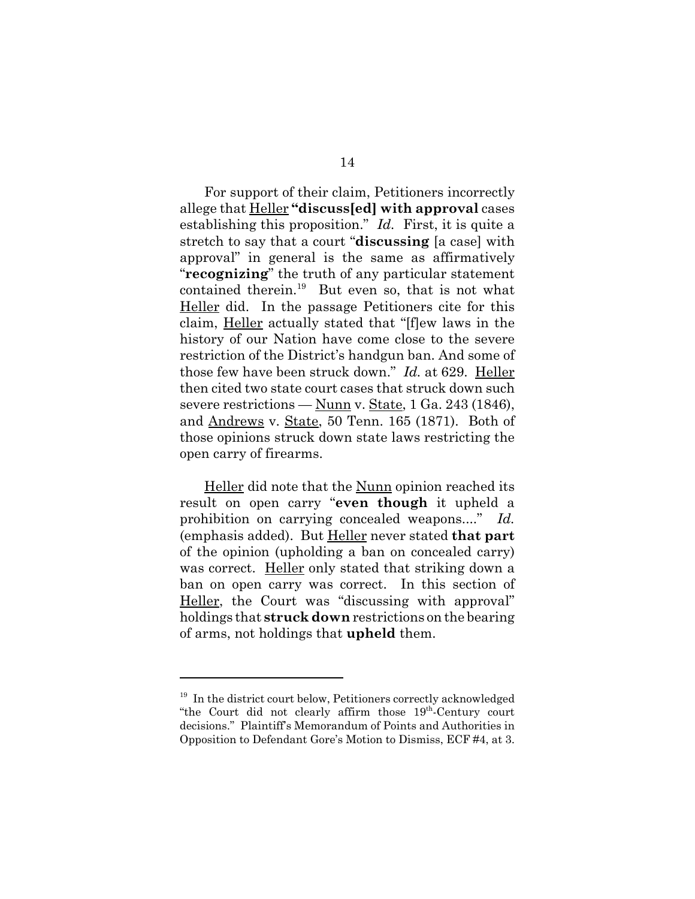For support of their claim, Petitioners incorrectly allege that Heller **"discuss[ed] with approval** cases establishing this proposition." *Id.* First, it is quite a stretch to say that a court "**discussing** [a case] with approval" in general is the same as affirmatively "**recognizing**" the truth of any particular statement contained therein.<sup>19</sup> But even so, that is not what Heller did. In the passage Petitioners cite for this claim, Heller actually stated that "[f]ew laws in the history of our Nation have come close to the severe restriction of the District's handgun ban. And some of those few have been struck down." *Id.* at 629. Heller then cited two state court cases that struck down such severe restrictions — <u>Nunn</u> v. <u>State</u>, 1 Ga. 243 (1846), and Andrews v. State, 50 Tenn. 165 (1871). Both of those opinions struck down state laws restricting the open carry of firearms.

Heller did note that the Nunn opinion reached its result on open carry "**even though** it upheld a prohibition on carrying concealed weapons...." *Id.* (emphasis added). But Heller never stated **that part** of the opinion (upholding a ban on concealed carry) was correct. Heller only stated that striking down a ban on open carry was correct. In this section of Heller, the Court was "discussing with approval" holdings that **struck down** restrictions on the bearing of arms, not holdings that **upheld** them.

<sup>&</sup>lt;sup>19</sup> In the district court below, Petitioners correctly acknowledged "the Court did not clearly affirm those 19th-Century court decisions." Plaintiff's Memorandum of Points and Authorities in Opposition to Defendant Gore's Motion to Dismiss, ECF #4, at 3.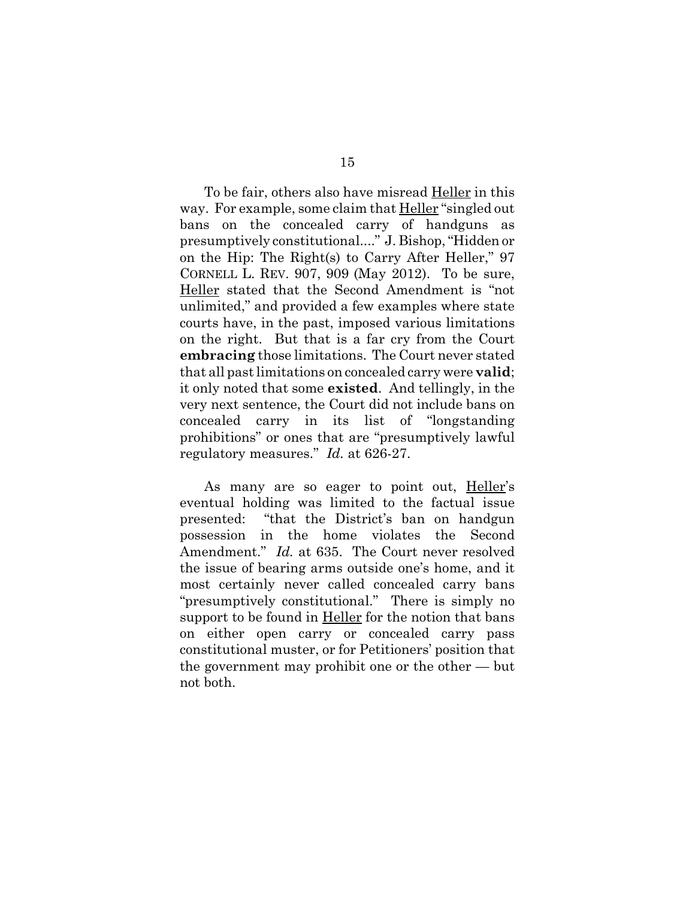To be fair, others also have misread **Heller** in this way. For example, some claim that Heller "singled out bans on the concealed carry of handguns as presumptively constitutional...." J. Bishop, "Hidden or on the Hip: The Right(s) to Carry After Heller," 97 CORNELL L. REV. 907, 909 (May 2012). To be sure, Heller stated that the Second Amendment is "not unlimited," and provided a few examples where state courts have, in the past, imposed various limitations on the right. But that is a far cry from the Court **embracing** those limitations. The Court never stated that all past limitations on concealed carry were **valid**; it only noted that some **existed**. And tellingly, in the very next sentence, the Court did not include bans on concealed carry in its list of "longstanding prohibitions" or ones that are "presumptively lawful regulatory measures." *Id.* at 626-27.

As many are so eager to point out, Heller's eventual holding was limited to the factual issue presented: "that the District's ban on handgun possession in the home violates the Second Amendment." *Id.* at 635. The Court never resolved the issue of bearing arms outside one's home, and it most certainly never called concealed carry bans "presumptively constitutional." There is simply no support to be found in Heller for the notion that bans on either open carry or concealed carry pass constitutional muster, or for Petitioners' position that the government may prohibit one or the other — but not both.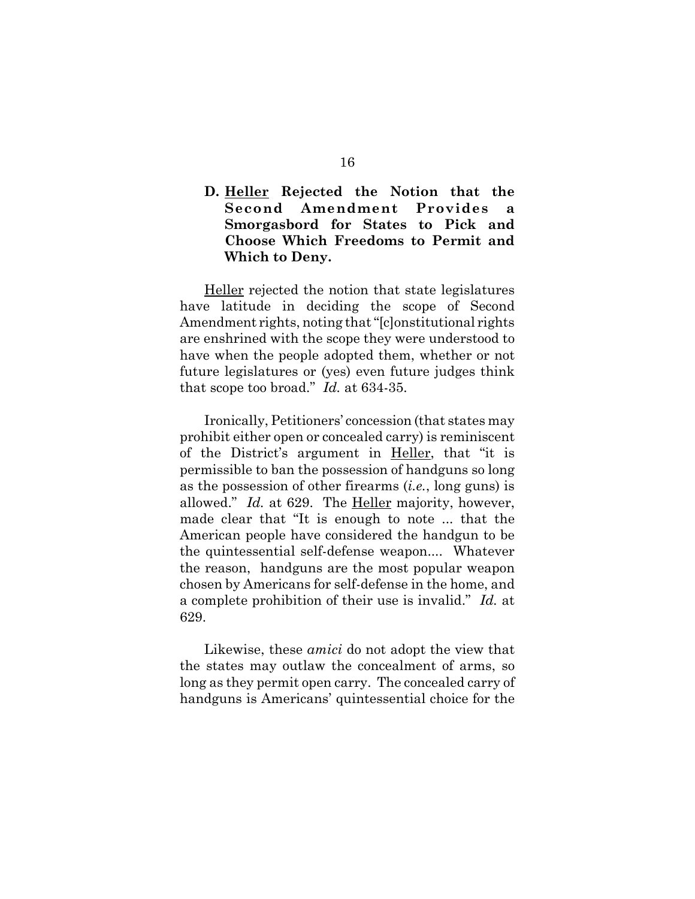### **D. Heller Rejected the Notion that the Second Amendment Provides a Smorgasbord for States to Pick and Choose Which Freedoms to Permit and Which to Deny.**

Heller rejected the notion that state legislatures have latitude in deciding the scope of Second Amendment rights, noting that "[c]onstitutional rights are enshrined with the scope they were understood to have when the people adopted them, whether or not future legislatures or (yes) even future judges think that scope too broad." *Id.* at 634-35.

Ironically, Petitioners' concession (that states may prohibit either open or concealed carry) is reminiscent of the District's argument in Heller, that "it is permissible to ban the possession of handguns so long as the possession of other firearms (*i.e.*, long guns) is allowed." *Id.* at 629. The Heller majority, however, made clear that "It is enough to note ... that the American people have considered the handgun to be the quintessential self-defense weapon.... Whatever the reason, handguns are the most popular weapon chosen by Americans for self-defense in the home, and a complete prohibition of their use is invalid." *Id.* at 629.

Likewise, these *amici* do not adopt the view that the states may outlaw the concealment of arms, so long as they permit open carry. The concealed carry of handguns is Americans' quintessential choice for the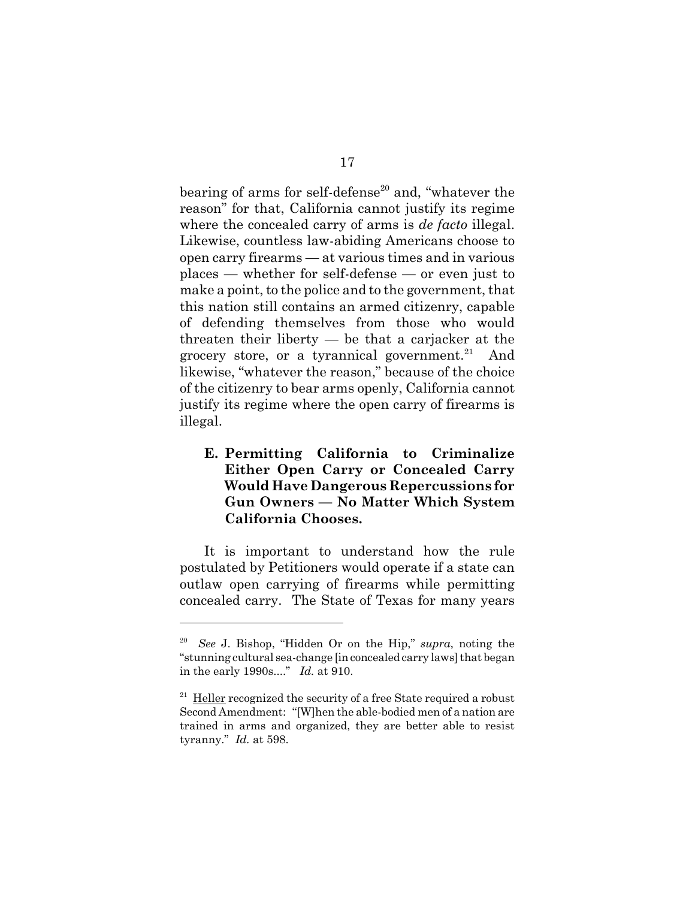bearing of arms for self-defense<sup>20</sup> and, "whatever the reason" for that, California cannot justify its regime where the concealed carry of arms is *de facto* illegal. Likewise, countless law-abiding Americans choose to open carry firearms — at various times and in various places — whether for self-defense — or even just to make a point, to the police and to the government, that this nation still contains an armed citizenry, capable of defending themselves from those who would threaten their liberty — be that a carjacker at the grocery store, or a tyrannical government. $^{21}$  And likewise, "whatever the reason," because of the choice of the citizenry to bear arms openly, California cannot justify its regime where the open carry of firearms is illegal.

## **E. Permitting California to Criminalize Either Open Carry or Concealed Carry Would Have Dangerous Repercussions for Gun Owners — No Matter Which System California Chooses.**

It is important to understand how the rule postulated by Petitioners would operate if a state can outlaw open carrying of firearms while permitting concealed carry. The State of Texas for many years

<sup>20</sup> *See* J. Bishop, "Hidden Or on the Hip," *supra*, noting the "stunning cultural sea-change [in concealed carry laws] that began in the early 1990s...." *Id.* at 910.

 $21$  Heller recognized the security of a free State required a robust Second Amendment: "[W]hen the able-bodied men of a nation are trained in arms and organized, they are better able to resist tyranny." *Id.* at 598.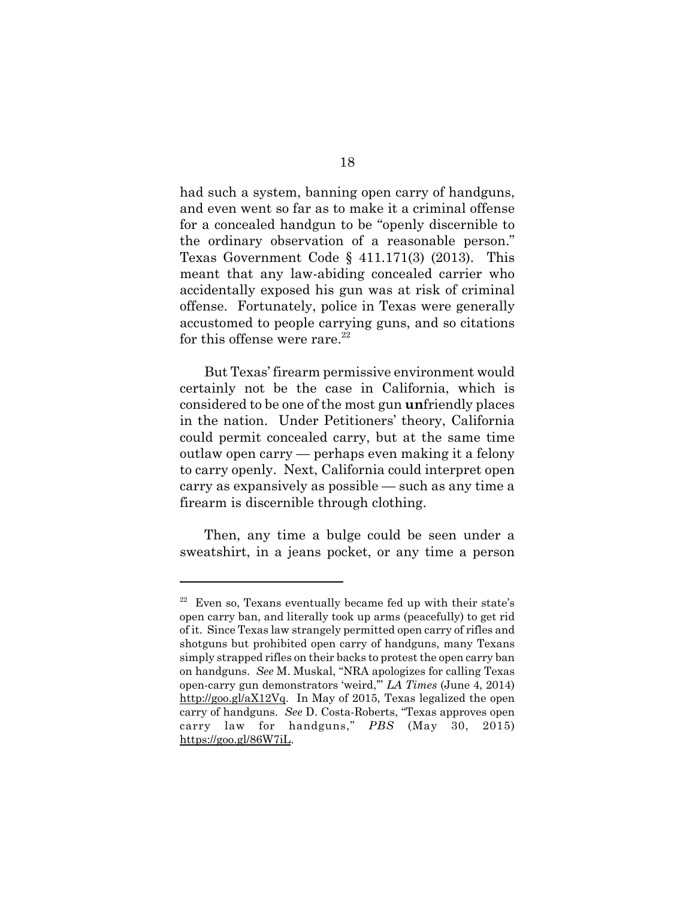had such a system, banning open carry of handguns, and even went so far as to make it a criminal offense for a concealed handgun to be "openly discernible to the ordinary observation of a reasonable person." Texas Government Code § 411.171(3) (2013). This meant that any law-abiding concealed carrier who accidentally exposed his gun was at risk of criminal offense. Fortunately, police in Texas were generally accustomed to people carrying guns, and so citations for this offense were rare. $^{22}$ 

But Texas' firearm permissive environment would certainly not be the case in California, which is considered to be one of the most gun **un**friendly places in the nation. Under Petitioners' theory, California could permit concealed carry, but at the same time outlaw open carry — perhaps even making it a felony to carry openly. Next, California could interpret open carry as expansively as possible — such as any time a firearm is discernible through clothing.

Then, any time a bulge could be seen under a sweatshirt, in a jeans pocket, or any time a person

 $22$  Even so, Texans eventually became fed up with their state's open carry ban, and literally took up arms (peacefully) to get rid of it. Since Texas law strangely permitted open carry of rifles and shotguns but prohibited open carry of handguns, many Texans simply strapped rifles on their backs to protest the open carry ban on handguns. *See* M. Muskal, "NRA apologizes for calling Texas open-carry gun demonstrators 'weird,'" *LA Times* (June 4, 2014) http://goo.gl/aX12Vq. In May of 2015, Texas legalized the open carry of handguns. *See* D. Costa-Roberts, "Texas approves open carry law for handguns," *PBS* (May 30, 2015) https://goo.gl/86W7iL.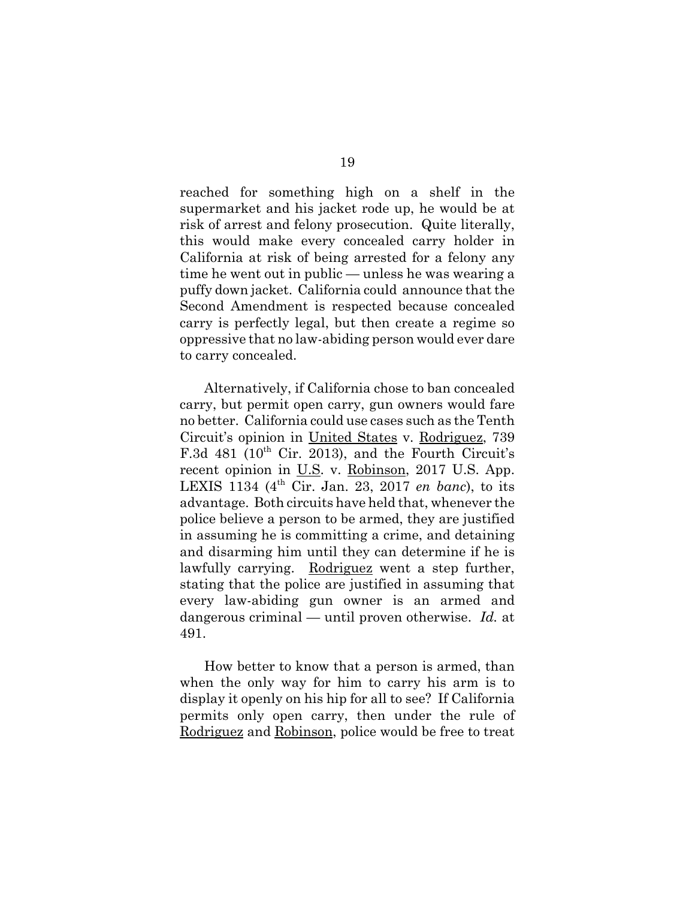reached for something high on a shelf in the supermarket and his jacket rode up, he would be at risk of arrest and felony prosecution. Quite literally, this would make every concealed carry holder in California at risk of being arrested for a felony any time he went out in public — unless he was wearing a puffy down jacket. California could announce that the Second Amendment is respected because concealed carry is perfectly legal, but then create a regime so oppressive that no law-abiding person would ever dare to carry concealed.

Alternatively, if California chose to ban concealed carry, but permit open carry, gun owners would fare no better. California could use cases such as the Tenth Circuit's opinion in United States v. Rodriguez, 739 F.3d 481 ( $10^{th}$  Cir. 2013), and the Fourth Circuit's recent opinion in U.S. v. Robinson, 2017 U.S. App. LEXIS 1134 (4th Cir. Jan. 23, 2017 *en banc*), to its advantage. Both circuits have held that, whenever the police believe a person to be armed, they are justified in assuming he is committing a crime, and detaining and disarming him until they can determine if he is lawfully carrying. Rodriguez went a step further, stating that the police are justified in assuming that every law-abiding gun owner is an armed and dangerous criminal — until proven otherwise. *Id.* at 491.

How better to know that a person is armed, than when the only way for him to carry his arm is to display it openly on his hip for all to see? If California permits only open carry, then under the rule of Rodriguez and Robinson, police would be free to treat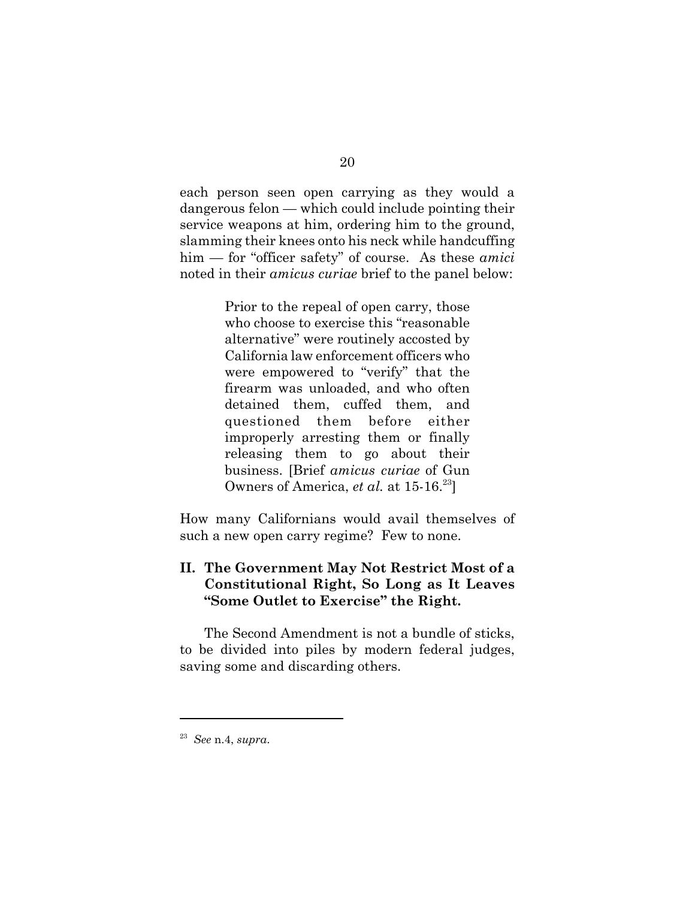each person seen open carrying as they would a dangerous felon — which could include pointing their service weapons at him, ordering him to the ground, slamming their knees onto his neck while handcuffing him — for "officer safety" of course. As these *amici* noted in their *amicus curiae* brief to the panel below:

> Prior to the repeal of open carry, those who choose to exercise this "reasonable alternative" were routinely accosted by California law enforcement officers who were empowered to "verify" that the firearm was unloaded, and who often detained them, cuffed them, and questioned them before either improperly arresting them or finally releasing them to go about their business. [Brief *amicus curiae* of Gun Owners of America, *et al.* at 15-16.<sup>23</sup>]

How many Californians would avail themselves of such a new open carry regime? Few to none.

#### **II. The Government May Not Restrict Most of a Constitutional Right, So Long as It Leaves "Some Outlet to Exercise" the Right.**

The Second Amendment is not a bundle of sticks, to be divided into piles by modern federal judges, saving some and discarding others.

<sup>23</sup> *See* n.4, *supra*.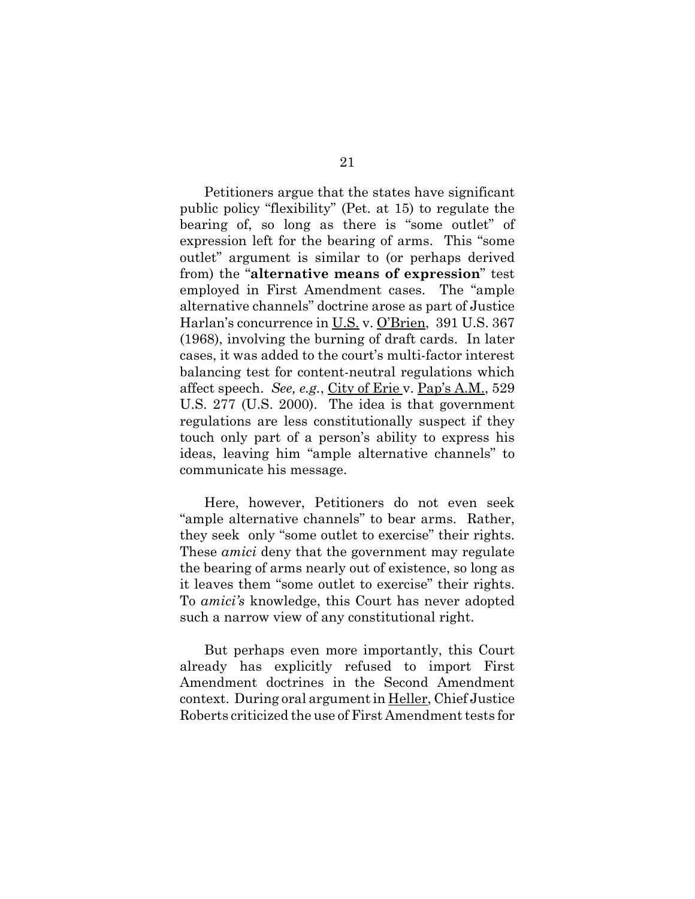Petitioners argue that the states have significant public policy "flexibility" (Pet. at 15) to regulate the bearing of, so long as there is "some outlet" of expression left for the bearing of arms. This "some outlet" argument is similar to (or perhaps derived from) the "**alternative means of expression**" test employed in First Amendment cases. The "ample alternative channels" doctrine arose as part of Justice Harlan's concurrence in U.S. v. O'Brien, 391 U.S. 367 (1968), involving the burning of draft cards. In later cases, it was added to the court's multi-factor interest balancing test for content-neutral regulations which affect speech. *See, e.g.*, City of Erie v. Pap's A.M., 529 U.S. 277 (U.S. 2000). The idea is that government regulations are less constitutionally suspect if they touch only part of a person's ability to express his ideas, leaving him "ample alternative channels" to communicate his message.

Here, however, Petitioners do not even seek "ample alternative channels" to bear arms. Rather, they seek only "some outlet to exercise" their rights. These *amici* deny that the government may regulate the bearing of arms nearly out of existence, so long as it leaves them "some outlet to exercise" their rights. To *amici's* knowledge, this Court has never adopted such a narrow view of any constitutional right.

But perhaps even more importantly, this Court already has explicitly refused to import First Amendment doctrines in the Second Amendment context. During oral argument in Heller, Chief Justice Roberts criticized the use of First Amendment tests for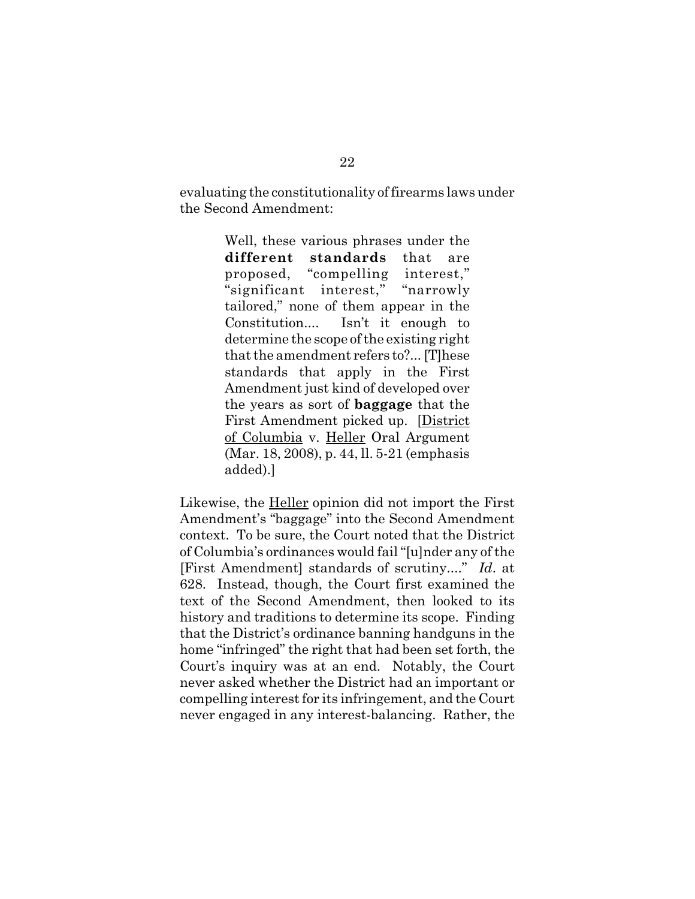evaluating the constitutionality of firearms laws under the Second Amendment:

> Well, these various phrases under the **different standards** that are proposed, "compelling interest," "significant interest," "narrowly tailored," none of them appear in the Constitution.... Isn't it enough to determine the scope of the existing right that the amendment refers to?... [T]hese standards that apply in the First Amendment just kind of developed over the years as sort of **baggage** that the First Amendment picked up. [District of Columbia v. Heller Oral Argument (Mar. 18, 2008), p. 44, ll. 5-21 (emphasis added).]

Likewise, the Heller opinion did not import the First Amendment's "baggage" into the Second Amendment context. To be sure, the Court noted that the District of Columbia's ordinances would fail "[u]nder any of the [First Amendment] standards of scrutiny...." *Id*. at 628. Instead, though, the Court first examined the text of the Second Amendment, then looked to its history and traditions to determine its scope. Finding that the District's ordinance banning handguns in the home "infringed" the right that had been set forth, the Court's inquiry was at an end. Notably, the Court never asked whether the District had an important or compelling interest for its infringement, and the Court never engaged in any interest-balancing. Rather, the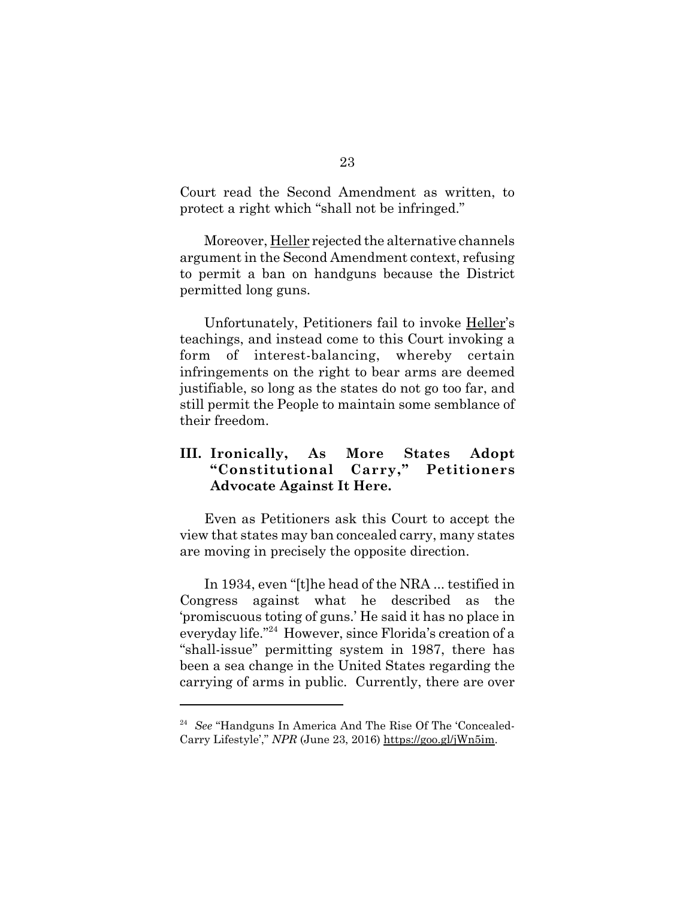Court read the Second Amendment as written, to protect a right which "shall not be infringed."

Moreover, Heller rejected the alternative channels argument in the Second Amendment context, refusing to permit a ban on handguns because the District permitted long guns.

Unfortunately, Petitioners fail to invoke Heller's teachings, and instead come to this Court invoking a form of interest-balancing, whereby certain infringements on the right to bear arms are deemed justifiable, so long as the states do not go too far, and still permit the People to maintain some semblance of their freedom.

## **III. Ironically, As More States Adopt "Constitutional Carry," Petitioners Advocate Against It Here.**

Even as Petitioners ask this Court to accept the view that states may ban concealed carry, many states are moving in precisely the opposite direction.

In 1934, even "[t]he head of the NRA ... testified in Congress against what he described as the 'promiscuous toting of guns.' He said it has no place in everyday life."24 However, since Florida's creation of a "shall-issue" permitting system in 1987, there has been a sea change in the United States regarding the carrying of arms in public. Currently, there are over

<sup>24</sup> *See* "Handguns In America And The Rise Of The 'Concealed-Carry Lifestyle'," *NPR* (June 23, 2016) https://goo.gl/jWn5im.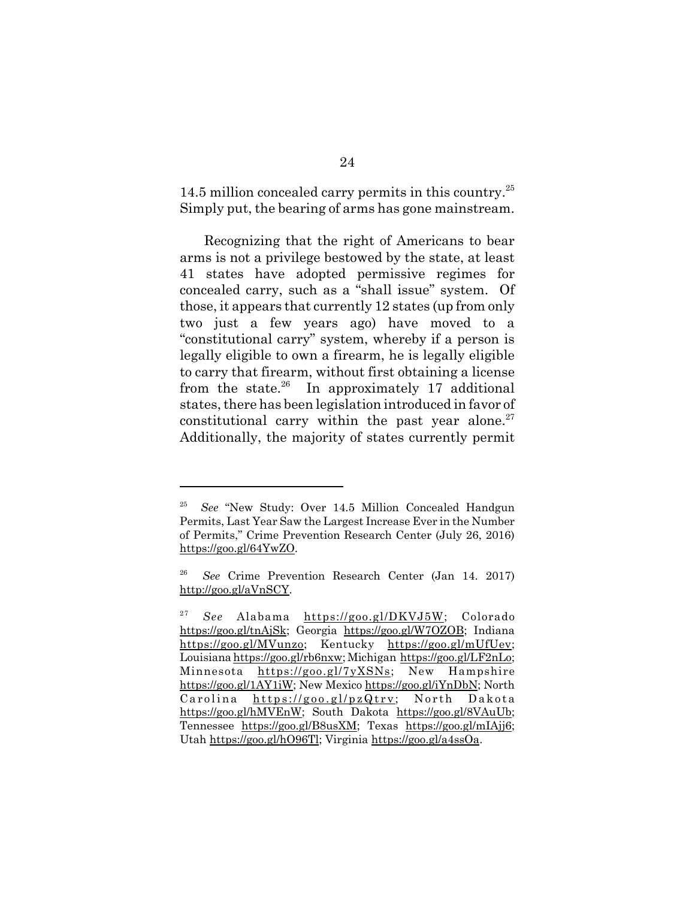14.5 million concealed carry permits in this country.<sup>25</sup> Simply put, the bearing of arms has gone mainstream.

Recognizing that the right of Americans to bear arms is not a privilege bestowed by the state, at least 41 states have adopted permissive regimes for concealed carry, such as a "shall issue" system. Of those, it appears that currently 12 states (up from only two just a few years ago) have moved to a "constitutional carry" system, whereby if a person is legally eligible to own a firearm, he is legally eligible to carry that firearm, without first obtaining a license from the state. $^{26}$  In approximately 17 additional states, there has been legislation introduced in favor of constitutional carry within the past year alone.<sup>27</sup> Additionally, the majority of states currently permit

<sup>25</sup> *See* "New Study: Over 14.5 Million Concealed Handgun Permits, Last Year Saw the Largest Increase Ever in the Number of Permits," Crime Prevention Research Center (July 26, 2016) https://goo.gl/64YwZO.

<sup>26</sup> *See* Crime Prevention Research Center (Jan 14. 2017) http://goo.gl/aVnSCY.

<sup>&</sup>lt;sup>27</sup> *See* Alabama https://goo.gl/DKVJ5W; Colorado https://goo.gl/tnAjSk; Georgia https://goo.gl/W7OZOB; Indiana https://goo.gl/MVunzo; Kentucky https://goo.gl/mUfUev; Louisiana https://goo.gl/rb6nxw; Michigan https://goo.gl/LF2nLo; Minnesota https://goo.gl/7yXSNs; New Hampshire https://goo.gl/1AY1iW; New Mexico https://goo.gl/iYnDbN; North Carolina https://goo.gl/pzQtrv; North Dakota https://goo.gl/hMVEnW; South Dakota https://goo.gl/8VAuUb; Tennessee https://goo.gl/B8usXM; Texas https://goo.gl/mIAjj6; Utah https://goo.gl/hO96Tl; Virginia https://goo.gl/a4ssOa.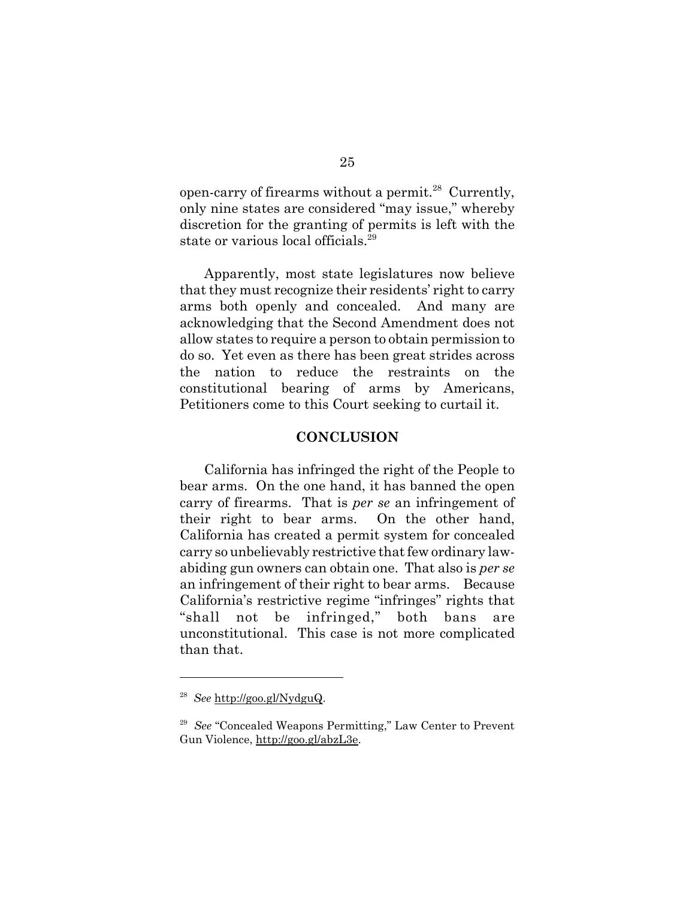open-carry of firearms without a permit. $^{28}$  Currently, only nine states are considered "may issue," whereby discretion for the granting of permits is left with the state or various local officials.<sup>29</sup>

Apparently, most state legislatures now believe that they must recognize their residents' right to carry arms both openly and concealed. And many are acknowledging that the Second Amendment does not allow states to require a person to obtain permission to do so. Yet even as there has been great strides across the nation to reduce the restraints on the constitutional bearing of arms by Americans, Petitioners come to this Court seeking to curtail it.

#### **CONCLUSION**

California has infringed the right of the People to bear arms. On the one hand, it has banned the open carry of firearms. That is *per se* an infringement of their right to bear arms. On the other hand, California has created a permit system for concealed carry so unbelievably restrictive that few ordinary lawabiding gun owners can obtain one. That also is *per se* an infringement of their right to bear arms. Because California's restrictive regime "infringes" rights that "shall not be infringed," both bans are unconstitutional. This case is not more complicated than that.

<sup>28</sup> *See* http://goo.gl/NydguQ.

<sup>29</sup> *See* "Concealed Weapons Permitting," Law Center to Prevent Gun Violence, http://goo.gl/abzL3e.